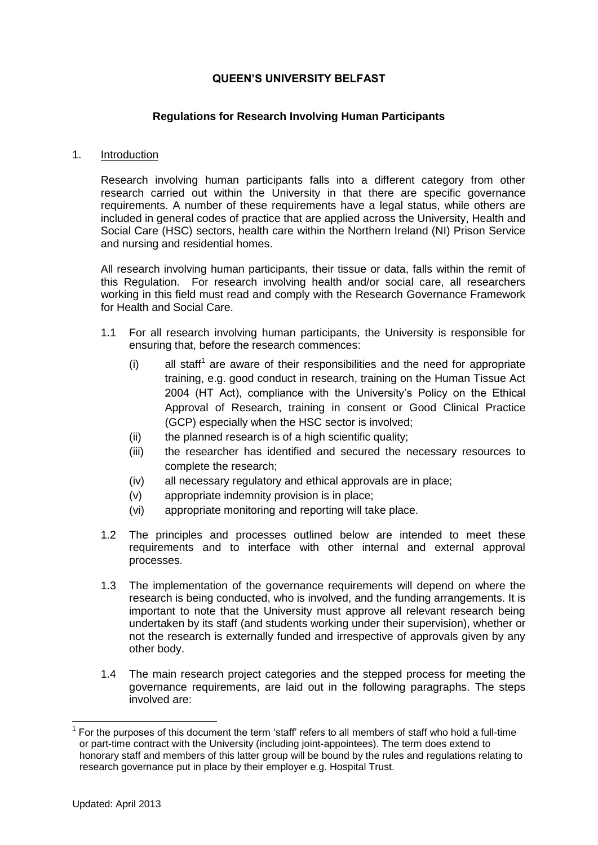# **QUEEN'S UNIVERSITY BELFAST**

## **Regulations for Research Involving Human Participants**

#### 1. Introduction

Research involving human participants falls into a different category from other research carried out within the University in that there are specific governance requirements. A number of these requirements have a legal status, while others are included in general codes of practice that are applied across the University, Health and Social Care (HSC) sectors, health care within the Northern Ireland (NI) Prison Service and nursing and residential homes.

All research involving human participants, their tissue or data, falls within the remit of this Regulation. For research involving health and/or social care, all researchers working in this field must read and comply with the Research Governance Framework for Health and Social Care.

- 1.1 For all research involving human participants, the University is responsible for ensuring that, before the research commences:
	- $(i)$  all staff<sup>1</sup> are aware of their responsibilities and the need for appropriate training, e.g. good conduct in research, training on the Human Tissue Act 2004 (HT Act), compliance with the University's Policy on the Ethical Approval of Research, training in consent or Good Clinical Practice (GCP) especially when the HSC sector is involved;
	- (ii) the planned research is of a high scientific quality;
	- (iii) the researcher has identified and secured the necessary resources to complete the research;
	- (iv) all necessary regulatory and ethical approvals are in place;
	- (v) appropriate indemnity provision is in place;
	- (vi) appropriate monitoring and reporting will take place.
- 1.2 The principles and processes outlined below are intended to meet these requirements and to interface with other internal and external approval processes.
- 1.3 The implementation of the governance requirements will depend on where the research is being conducted, who is involved, and the funding arrangements. It is important to note that the University must approve all relevant research being undertaken by its staff (and students working under their supervision), whether or not the research is externally funded and irrespective of approvals given by any other body.
- 1.4 The main research project categories and the stepped process for meeting the governance requirements, are laid out in the following paragraphs. The steps involved are:

<sup>1</sup> For the purposes of this document the term 'staff' refers to all members of staff who hold a full-time or part-time contract with the University (including joint-appointees). The term does extend to honorary staff and members of this latter group will be bound by the rules and regulations relating to research governance put in place by their employer e.g. Hospital Trust.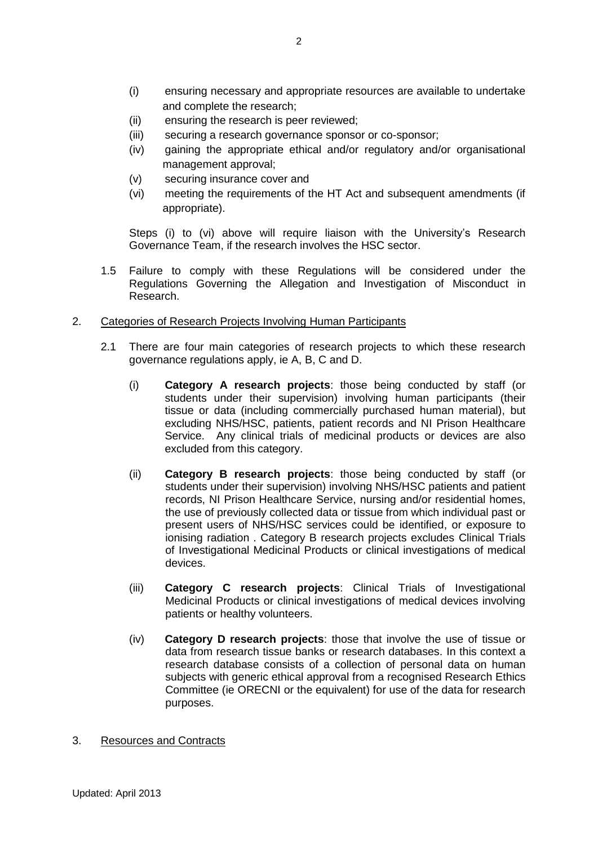- (i) ensuring necessary and appropriate resources are available to undertake and complete the research;
- (ii) ensuring the research is peer reviewed;
- (iii) securing a research governance sponsor or co-sponsor;
- (iv) gaining the appropriate ethical and/or regulatory and/or organisational management approval;
- (v) securing insurance cover and
- (vi) meeting the requirements of the HT Act and subsequent amendments (if appropriate).

Steps (i) to (vi) above will require liaison with the University's Research Governance Team, if the research involves the HSC sector.

- 1.5 Failure to comply with these Regulations will be considered under the Regulations Governing the Allegation and Investigation of Misconduct in Research.
- 2.Categories of Research Projects Involving Human Participants
	- 2.1 There are four main categories of research projects to which these research governance regulations apply, ie A, B, C and D.
		- (i) **Category A research projects**: those being conducted by staff (or students under their supervision) involving human participants (their tissue or data (including commercially purchased human material), but excluding NHS/HSC, patients, patient records and NI Prison Healthcare Service. Any clinical trials of medicinal products or devices are also excluded from this category.
		- (ii) **Category B research projects**: those being conducted by staff (or students under their supervision) involving NHS/HSC patients and patient records, NI Prison Healthcare Service, nursing and/or residential homes, the use of previously collected data or tissue from which individual past or present users of NHS/HSC services could be identified, or exposure to ionising radiation . Category B research projects excludes Clinical Trials of Investigational Medicinal Products or clinical investigations of medical devices.
		- (iii) **Category C research projects**: Clinical Trials of Investigational Medicinal Products or clinical investigations of medical devices involving patients or healthy volunteers.
		- (iv) **Category D research projects**: those that involve the use of tissue or data from research tissue banks or research databases. In this context a research database consists of a collection of personal data on human subjects with generic ethical approval from a recognised Research Ethics Committee (ie ORECNI or the equivalent) for use of the data for research purposes.
- 3. Resources and Contracts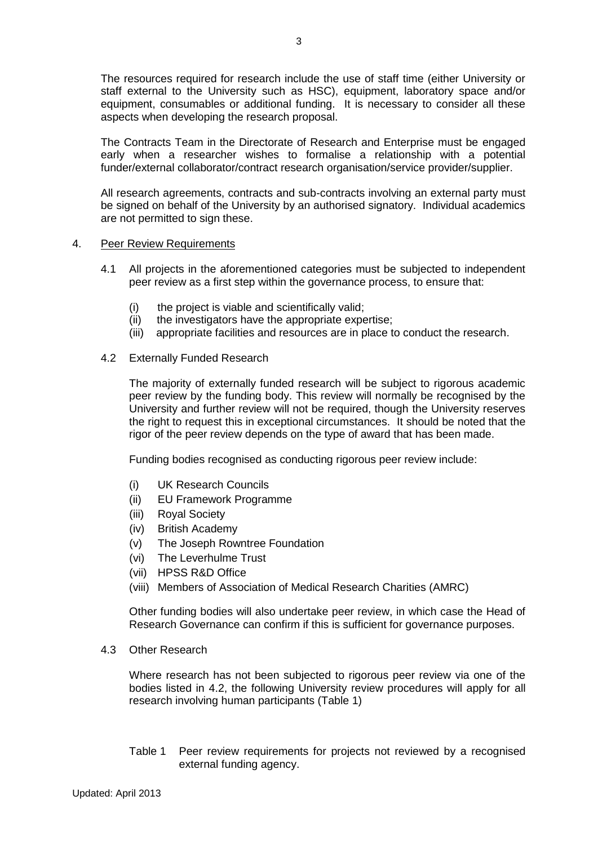The resources required for research include the use of staff time (either University or staff external to the University such as HSC), equipment, laboratory space and/or equipment, consumables or additional funding. It is necessary to consider all these aspects when developing the research proposal.

The Contracts Team in the Directorate of Research and Enterprise must be engaged early when a researcher wishes to formalise a relationship with a potential funder/external collaborator/contract research organisation/service provider/supplier.

All research agreements, contracts and sub-contracts involving an external party must be signed on behalf of the University by an authorised signatory. Individual academics are not permitted to sign these.

## 4. Peer Review Requirements

- 4.1 All projects in the aforementioned categories must be subjected to independent peer review as a first step within the governance process, to ensure that:
	- (i) the project is viable and scientifically valid;
	- (ii) the investigators have the appropriate expertise;
	- (iii) appropriate facilities and resources are in place to conduct the research.

## 4.2 Externally Funded Research

The majority of externally funded research will be subject to rigorous academic peer review by the funding body. This review will normally be recognised by the University and further review will not be required, though the University reserves the right to request this in exceptional circumstances. It should be noted that the rigor of the peer review depends on the type of award that has been made.

Funding bodies recognised as conducting rigorous peer review include:

- (i) UK Research Councils
- (ii) EU Framework Programme
- (iii) Royal Society
- (iv) British Academy
- (v) The Joseph Rowntree Foundation
- (vi) The Leverhulme Trust
- (vii) HPSS R&D Office
- (viii) Members of Association of Medical Research Charities (AMRC)

Other funding bodies will also undertake peer review, in which case the Head of Research Governance can confirm if this is sufficient for governance purposes.

4.3 Other Research

Where research has not been subjected to rigorous peer review via one of the bodies listed in 4.2, the following University review procedures will apply for all research involving human participants (Table 1)

Table 1 Peer review requirements for projects not reviewed by a recognised external funding agency.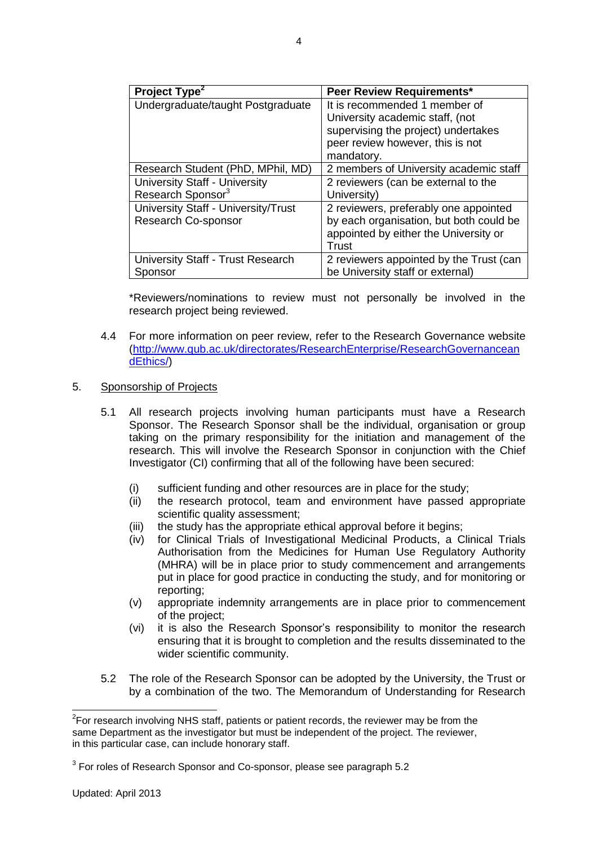| Project Type <sup>2</sup>           | <b>Peer Review Requirements*</b>        |
|-------------------------------------|-----------------------------------------|
| Undergraduate/taught Postgraduate   | It is recommended 1 member of           |
|                                     | University academic staff, (not         |
|                                     | supervising the project) undertakes     |
|                                     | peer review however, this is not        |
|                                     | mandatory.                              |
| Research Student (PhD, MPhil, MD)   | 2 members of University academic staff  |
| University Staff - University       | 2 reviewers (can be external to the     |
| Research Sponsor <sup>3</sup>       | University)                             |
| University Staff - University/Trust | 2 reviewers, preferably one appointed   |
| Research Co-sponsor                 | by each organisation, but both could be |
|                                     | appointed by either the University or   |
|                                     | Trust                                   |
| University Staff - Trust Research   | 2 reviewers appointed by the Trust (can |
| Sponsor                             | be University staff or external)        |

\*Reviewers/nominations to review must not personally be involved in the research project being reviewed.

4.4 For more information on peer review, refer to the Research Governance website [\(http://www.qub.ac.uk/directorates/ResearchEnterprise/ResearchGovernancean](http://www.qub.ac.uk/directorates/ResearchEnterprise/ResearchGovernanceandEthics/) [dEthics/\)](http://www.qub.ac.uk/directorates/ResearchEnterprise/ResearchGovernanceandEthics/)

## 5. Sponsorship of Projects

- 5.1 All research projects involving human participants must have a Research Sponsor. The Research Sponsor shall be the individual, organisation or group taking on the primary responsibility for the initiation and management of the research. This will involve the Research Sponsor in conjunction with the Chief Investigator (CI) confirming that all of the following have been secured:
	- (i) sufficient funding and other resources are in place for the study;
	- (ii) the research protocol, team and environment have passed appropriate scientific quality assessment;
	- (iii) the study has the appropriate ethical approval before it begins;
	- (iv) for Clinical Trials of Investigational Medicinal Products, a Clinical Trials Authorisation from the Medicines for Human Use Regulatory Authority (MHRA) will be in place prior to study commencement and arrangements put in place for good practice in conducting the study, and for monitoring or reporting;
	- (v) appropriate indemnity arrangements are in place prior to commencement of the project;
	- (vi) it is also the Research Sponsor's responsibility to monitor the research ensuring that it is brought to completion and the results disseminated to the wider scientific community.
- 5.2 The role of the Research Sponsor can be adopted by the University, the Trust or by a combination of the two. The Memorandum of Understanding for Research

 $2$ For research involving NHS staff, patients or patient records, the reviewer may be from the same Department as the investigator but must be independent of the project. The reviewer, in this particular case, can include honorary staff.

 $3$  For roles of Research Sponsor and Co-sponsor, please see paragraph 5.2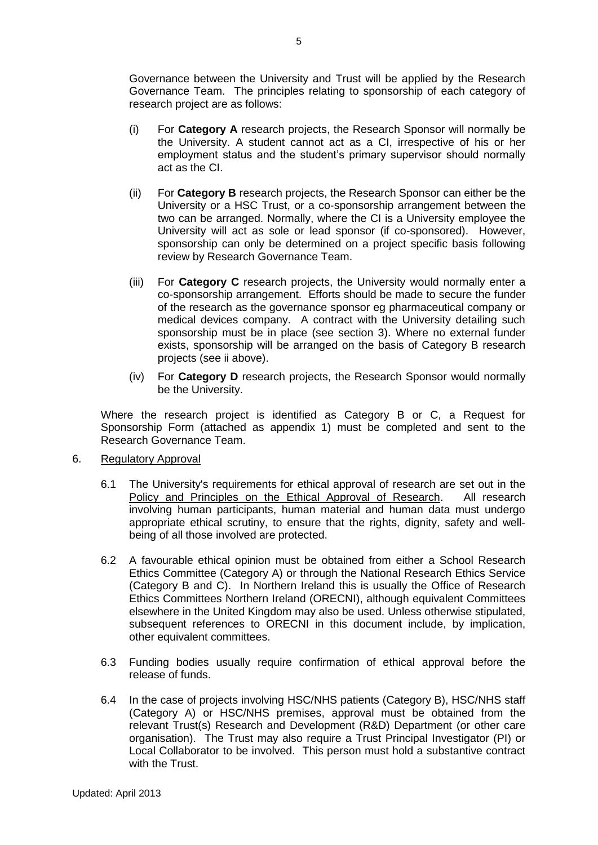Governance between the University and Trust will be applied by the Research Governance Team. The principles relating to sponsorship of each category of research project are as follows:

- (i) For **Category A** research projects, the Research Sponsor will normally be the University. A student cannot act as a CI, irrespective of his or her employment status and the student's primary supervisor should normally act as the CI.
- (ii) For **Category B** research projects, the Research Sponsor can either be the University or a HSC Trust, or a co-sponsorship arrangement between the two can be arranged. Normally, where the CI is a University employee the University will act as sole or lead sponsor (if co-sponsored). However, sponsorship can only be determined on a project specific basis following review by Research Governance Team.
- (iii) For **Category C** research projects, the University would normally enter a co-sponsorship arrangement. Efforts should be made to secure the funder of the research as the governance sponsor eg pharmaceutical company or medical devices company. A contract with the University detailing such sponsorship must be in place (see section 3). Where no external funder exists, sponsorship will be arranged on the basis of Category B research projects (see ii above).
- (iv) For **Category D** research projects, the Research Sponsor would normally be the University.

Where the research project is identified as Category B or C, a Request for Sponsorship Form (attached as appendix 1) must be completed and sent to the Research Governance Team.

- 6. Regulatory Approval
	- 6.1 The University's requirements for ethical approval of research are set out in the [Policy and Principles on the Ethical Approval of Research.](http://www.qub.ac.uk/directorates/ResearchEnterprise/ResearchGovernanceandEthics/ResearchGovernanceandIntegrity/) All research involving human participants, human material and human data must undergo appropriate ethical scrutiny, to ensure that the rights, dignity, safety and wellbeing of all those involved are protected.
	- 6.2 A favourable ethical opinion must be obtained from either a School Research Ethics Committee (Category A) or through the National Research Ethics Service (Category B and C). In Northern Ireland this is usually the Office of Research Ethics Committees Northern Ireland (ORECNI), although equivalent Committees elsewhere in the United Kingdom may also be used. Unless otherwise stipulated, subsequent references to ORECNI in this document include, by implication, other equivalent committees.
	- 6.3 Funding bodies usually require confirmation of ethical approval before the release of funds.
	- 6.4 In the case of projects involving HSC/NHS patients (Category B), HSC/NHS staff (Category A) or HSC/NHS premises, approval must be obtained from the relevant Trust(s) Research and Development (R&D) Department (or other care organisation). The Trust may also require a Trust Principal Investigator (PI) or Local Collaborator to be involved. This person must hold a substantive contract with the Trust.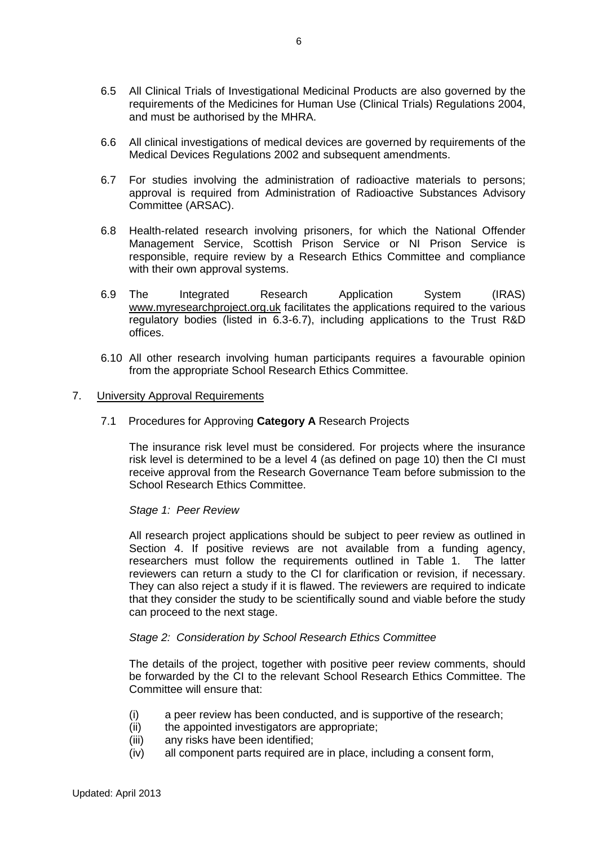- 6.5 All Clinical Trials of Investigational Medicinal Products are also governed by the requirements of the Medicines for Human Use (Clinical Trials) Regulations 2004, and must be authorised by the MHRA.
- 6.6 All clinical investigations of medical devices are governed by requirements of the Medical Devices Regulations 2002 and subsequent amendments.
- 6.7 For studies involving the administration of radioactive materials to persons; approval is required from Administration of Radioactive Substances Advisory Committee (ARSAC).
- 6.8 Health-related research involving prisoners, for which the National Offender Management Service, Scottish Prison Service or NI Prison Service is responsible, require review by a Research Ethics Committee and compliance with their own approval systems.
- 6.9 The Integrated Research Application System (IRAS) [www.myresearchproject.org.uk](http://www.myresearchproject.org.uk/) facilitates the applications required to the various regulatory bodies (listed in 6.3-6.7), including applications to the Trust R&D offices.
- 6.10 All other research involving human participants requires a favourable opinion from the appropriate School Research Ethics Committee.

### 7. University Approval Requirements

7.1 Procedures for Approving **Category A** Research Projects

The insurance risk level must be considered. For projects where the insurance risk level is determined to be a level 4 (as defined on page 10) then the CI must receive approval from the Research Governance Team before submission to the School Research Ethics Committee.

### *Stage 1: Peer Review*

All research project applications should be subject to peer review as outlined in Section 4. If positive reviews are not available from a funding agency, researchers must follow the requirements outlined in Table 1. The latter reviewers can return a study to the CI for clarification or revision, if necessary. They can also reject a study if it is flawed. The reviewers are required to indicate that they consider the study to be scientifically sound and viable before the study can proceed to the next stage.

# *Stage 2: Consideration by School Research Ethics Committee*

The details of the project, together with positive peer review comments, should be forwarded by the CI to the relevant School Research Ethics Committee. The Committee will ensure that:

- (i) a peer review has been conducted, and is supportive of the research;
- (ii) the appointed investigators are appropriate;
- (iii) any risks have been identified;
- (iv) all component parts required are in place, including a consent form,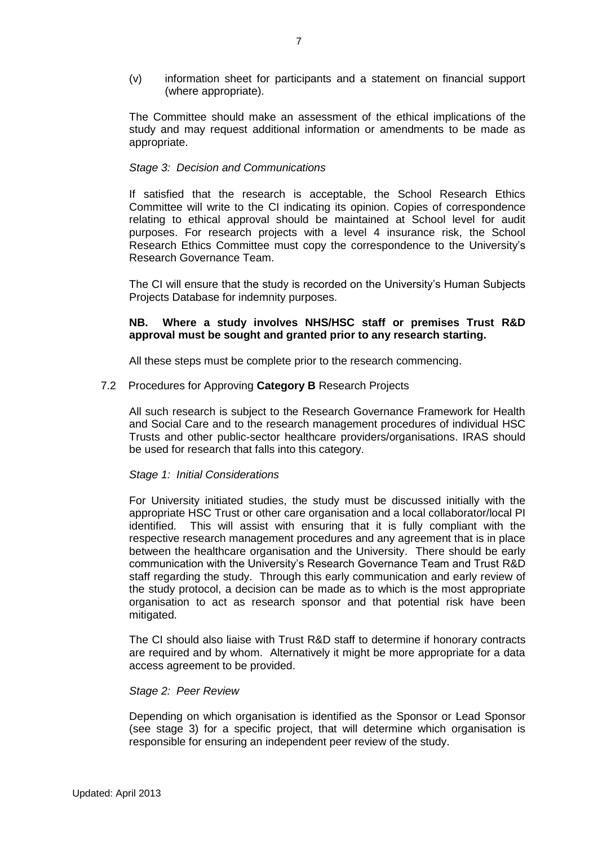(v) information sheet for participants and a statement on financial support (where appropriate).

The Committee should make an assessment of the ethical implications of the study and may request additional information or amendments to be made as appropriate.

### *Stage 3: Decision and Communications*

If satisfied that the research is acceptable, the School Research Ethics Committee will write to the CI indicating its opinion. Copies of correspondence relating to ethical approval should be maintained at School level for audit purposes. For research projects with a level 4 insurance risk, the School Research Ethics Committee must copy the correspondence to the University's Research Governance Team.

The CI will ensure that the study is recorded on the University's Human Subjects Projects Database for indemnity purposes.

# **NB. Where a study involves NHS/HSC staff or premises Trust R&D approval must be sought and granted prior to any research starting.**

All these steps must be complete prior to the research commencing.

#### 7.2 Procedures for Approving **Category B** Research Projects

All such research is subject to the Research Governance Framework for Health and Social Care and to the research management procedures of individual HSC Trusts and other public-sector healthcare providers/organisations. IRAS should be used for research that falls into this category.

### *Stage 1: Initial Considerations*

For University initiated studies, the study must be discussed initially with the appropriate HSC Trust or other care organisation and a local collaborator/local PI identified. This will assist with ensuring that it is fully compliant with the respective research management procedures and any agreement that is in place between the healthcare organisation and the University. There should be early communication with the University's Research Governance Team and Trust R&D staff regarding the study. Through this early communication and early review of the study protocol, a decision can be made as to which is the most appropriate organisation to act as research sponsor and that potential risk have been mitigated.

The CI should also liaise with Trust R&D staff to determine if honorary contracts are required and by whom. Alternatively it might be more appropriate for a data access agreement to be provided.

## *Stage 2: Peer Review*

Depending on which organisation is identified as the Sponsor or Lead Sponsor (see stage 3) for a specific project, that will determine which organisation is responsible for ensuring an independent peer review of the study.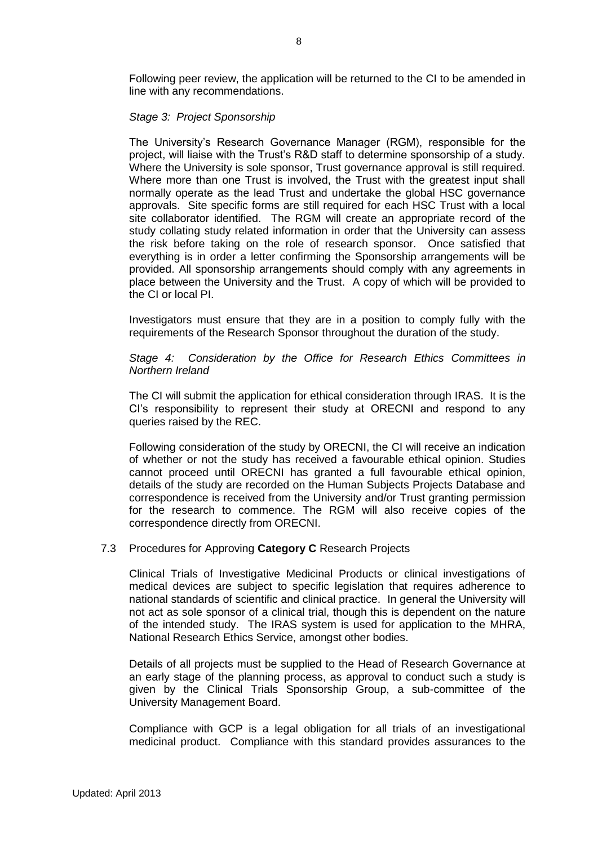Following peer review, the application will be returned to the CI to be amended in line with any recommendations.

#### *Stage 3: Project Sponsorship*

The University's Research Governance Manager (RGM), responsible for the project, will liaise with the Trust's R&D staff to determine sponsorship of a study. Where the University is sole sponsor, Trust governance approval is still required. Where more than one Trust is involved, the Trust with the greatest input shall normally operate as the lead Trust and undertake the global HSC governance approvals. Site specific forms are still required for each HSC Trust with a local site collaborator identified. The RGM will create an appropriate record of the study collating study related information in order that the University can assess the risk before taking on the role of research sponsor. Once satisfied that everything is in order a letter confirming the Sponsorship arrangements will be provided. All sponsorship arrangements should comply with any agreements in place between the University and the Trust. A copy of which will be provided to the CI or local PI.

Investigators must ensure that they are in a position to comply fully with the requirements of the Research Sponsor throughout the duration of the study.

*Stage 4: Consideration by the Office for Research Ethics Committees in Northern Ireland*

The CI will submit the application for ethical consideration through IRAS. It is the CI's responsibility to represent their study at ORECNI and respond to any queries raised by the REC.

Following consideration of the study by ORECNI, the CI will receive an indication of whether or not the study has received a favourable ethical opinion. Studies cannot proceed until ORECNI has granted a full favourable ethical opinion, details of the study are recorded on the Human Subjects Projects Database and correspondence is received from the University and/or Trust granting permission for the research to commence. The RGM will also receive copies of the correspondence directly from ORECNI.

### 7.3 Procedures for Approving **Category C** Research Projects

Clinical Trials of Investigative Medicinal Products or clinical investigations of medical devices are subject to specific legislation that requires adherence to national standards of scientific and clinical practice. In general the University will not act as sole sponsor of a clinical trial, though this is dependent on the nature of the intended study. The IRAS system is used for application to the MHRA, National Research Ethics Service, amongst other bodies.

Details of all projects must be supplied to the Head of Research Governance at an early stage of the planning process, as approval to conduct such a study is given by the Clinical Trials Sponsorship Group, a sub-committee of the University Management Board.

Compliance with GCP is a legal obligation for all trials of an investigational medicinal product. Compliance with this standard provides assurances to the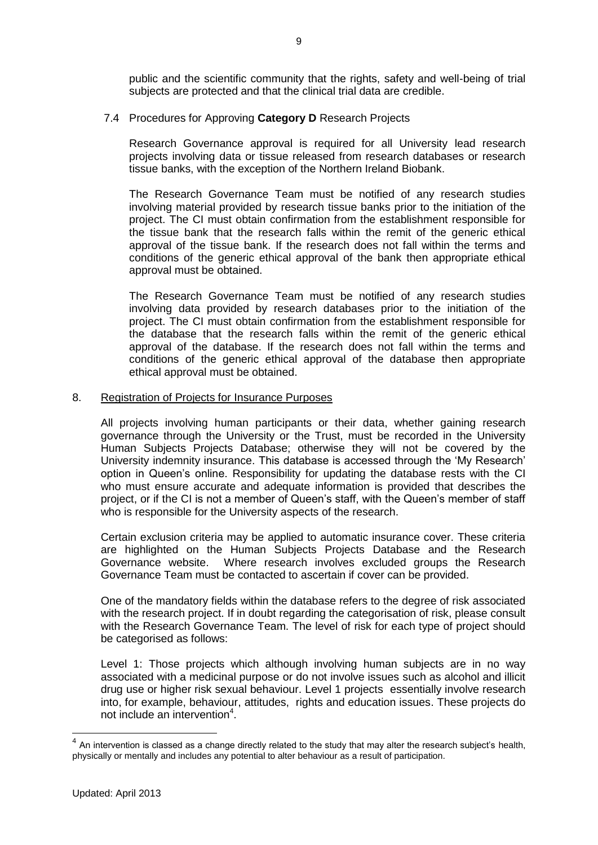public and the scientific community that the rights, safety and well-being of trial subjects are protected and that the clinical trial data are credible.

# 7.4 Procedures for Approving **Category D** Research Projects

Research Governance approval is required for all University lead research projects involving data or tissue released from research databases or research tissue banks, with the exception of the Northern Ireland Biobank.

The Research Governance Team must be notified of any research studies involving material provided by research tissue banks prior to the initiation of the project. The CI must obtain confirmation from the establishment responsible for the tissue bank that the research falls within the remit of the generic ethical approval of the tissue bank. If the research does not fall within the terms and conditions of the generic ethical approval of the bank then appropriate ethical approval must be obtained.

The Research Governance Team must be notified of any research studies involving data provided by research databases prior to the initiation of the project. The CI must obtain confirmation from the establishment responsible for the database that the research falls within the remit of the generic ethical approval of the database. If the research does not fall within the terms and conditions of the generic ethical approval of the database then appropriate ethical approval must be obtained.

### 8. Registration of Projects for Insurance Purposes

All projects involving human participants or their data, whether gaining research governance through the University or the Trust, must be recorded in the University Human Subjects Projects Database; otherwise they will not be covered by the University indemnity insurance. This database is accessed through the 'My Research' option in Queen's online. Responsibility for updating the database rests with the CI who must ensure accurate and adequate information is provided that describes the project, or if the CI is not a member of Queen's staff, with the Queen's member of staff who is responsible for the University aspects of the research.

Certain exclusion criteria may be applied to automatic insurance cover. These criteria are highlighted on the Human Subjects Projects Database and the Research Governance website. Where research involves excluded groups the Research Governance Team must be contacted to ascertain if cover can be provided.

One of the mandatory fields within the database refers to the degree of risk associated with the research project. If in doubt regarding the categorisation of risk, please consult with the Research Governance Team. The level of risk for each type of project should be categorised as follows:

Level 1: Those projects which although involving human subjects are in no way associated with a medicinal purpose or do not involve issues such as alcohol and illicit drug use or higher risk sexual behaviour. Level 1 projects essentially involve research into, for example, behaviour, attitudes, rights and education issues. These projects do not include an intervention<sup>4</sup>.

 $4$  An intervention is classed as a change directly related to the study that may alter the research subject's health, physically or mentally and includes any potential to alter behaviour as a result of participation.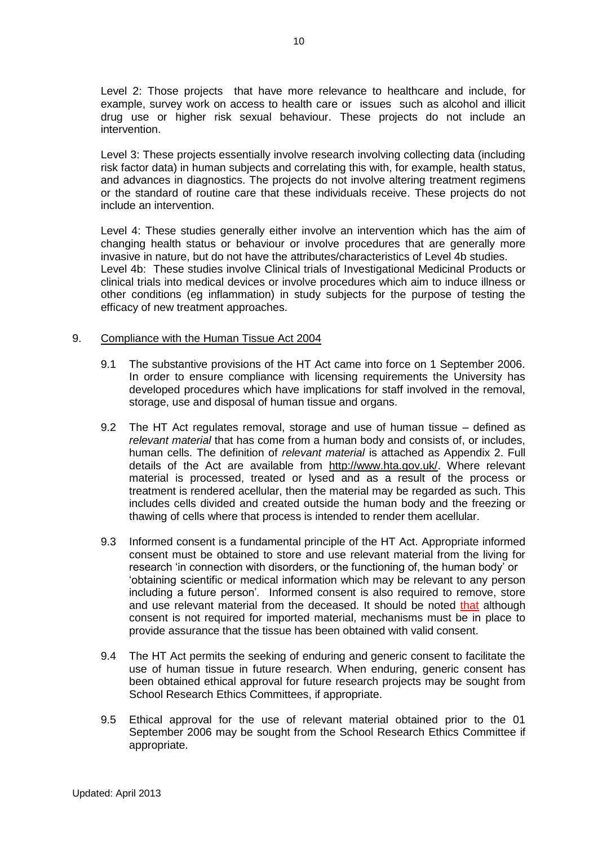Level 2: Those projects that have more relevance to healthcare and include, for example, survey work on access to health care or issues such as alcohol and illicit drug use or higher risk sexual behaviour. These projects do not include an intervention.

Level 3: These projects essentially involve research involving collecting data (including risk factor data) in human subjects and correlating this with, for example, health status, and advances in diagnostics. The projects do not involve altering treatment regimens or the standard of routine care that these individuals receive. These projects do not include an intervention.

Level 4: These studies generally either involve an intervention which has the aim of changing health status or behaviour or involve procedures that are generally more invasive in nature, but do not have the attributes/characteristics of Level 4b studies. Level 4b: These studies involve Clinical trials of Investigational Medicinal Products or clinical trials into medical devices or involve procedures which aim to induce illness or other conditions (eg inflammation) in study subjects for the purpose of testing the efficacy of new treatment approaches.

### 9.Compliance with the Human Tissue Act 2004

- 9.1 The substantive provisions of the HT Act came into force on 1 September 2006. In order to ensure compliance with licensing requirements the University has developed procedures which have implications for staff involved in the removal, storage, use and disposal of human tissue and organs.
- 9.2 The HT Act regulates removal, storage and use of human tissue defined as *relevant material* that has come from a human body and consists of, or includes, human cells. The definition of *relevant material* is attached as Appendix 2. Full details of the Act are available from [http://www.hta.gov.uk/.](http://www.hta.gov.uk/) Where relevant material is processed, treated or lysed and as a result of the process or treatment is rendered acellular, then the material may be regarded as such. This includes cells divided and created outside the human body and the freezing or thawing of cells where that process is intended to render them acellular.
- 9.3 Informed consent is a fundamental principle of the HT Act. Appropriate informed consent must be obtained to store and use relevant material from the living for research 'in connection with disorders, or the functioning of, the human body' or 'obtaining scientific or medical information which may be relevant to any person including a future person'*.* Informed consent is also required to remove, store and use relevant material from the deceased. It should be noted that although consent is not required for imported material, mechanisms must be in place to provide assurance that the tissue has been obtained with valid consent.
- 9.4 The HT Act permits the seeking of enduring and generic consent to facilitate the use of human tissue in future research. When enduring, generic consent has been obtained ethical approval for future research projects may be sought from School Research Ethics Committees, if appropriate.
- 9.5 Ethical approval for the use of relevant material obtained prior to the 01 September 2006 may be sought from the School Research Ethics Committee if appropriate.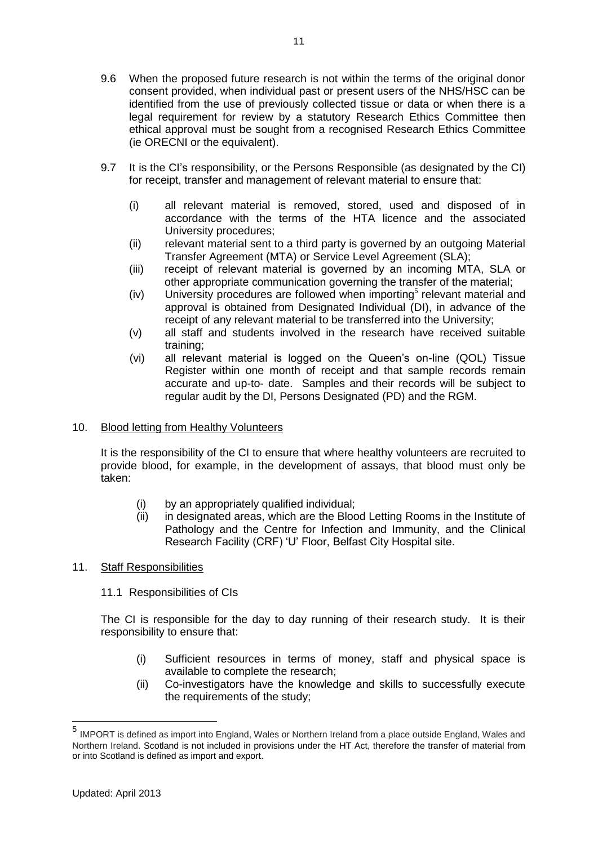- 9.6 When the proposed future research is not within the terms of the original donor consent provided, when individual past or present users of the NHS/HSC can be identified from the use of previously collected tissue or data or when there is a legal requirement for review by a statutory Research Ethics Committee then ethical approval must be sought from a recognised Research Ethics Committee (ie ORECNI or the equivalent).
- 9.7 It is the CI's responsibility, or the Persons Responsible (as designated by the CI) for receipt, transfer and management of relevant material to ensure that:
	- (i) all relevant material is removed, stored, used and disposed of in accordance with the terms of the HTA licence and the associated University procedures;
	- (ii) relevant material sent to a third party is governed by an outgoing Material Transfer Agreement (MTA) or Service Level Agreement (SLA);
	- (iii) receipt of relevant material is governed by an incoming MTA, SLA or other appropriate communication governing the transfer of the material;
	- $(iv)$  University procedures are followed when importing<sup>5</sup> relevant material and approval is obtained from Designated Individual (DI), in advance of the receipt of any relevant material to be transferred into the University;
	- (v) all staff and students involved in the research have received suitable training;
	- (vi) all relevant material is logged on the Queen's on-line (QOL) Tissue Register within one month of receipt and that sample records remain accurate and up-to- date. Samples and their records will be subject to regular audit by the DI, Persons Designated (PD) and the RGM.

# 10. Blood letting from Healthy Volunteers

It is the responsibility of the CI to ensure that where healthy volunteers are recruited to provide blood, for example, in the development of assays, that blood must only be taken:

- (i) by an appropriately qualified individual;
- (ii) in designated areas, which are the Blood Letting Rooms in the Institute of Pathology and the Centre for Infection and Immunity, and the Clinical Research Facility (CRF) 'U' Floor, Belfast City Hospital site.

# 11. Staff Responsibilities

11.1 Responsibilities of CIs

The CI is responsible for the day to day running of their research study. It is their responsibility to ensure that:

- (i) Sufficient resources in terms of money, staff and physical space is available to complete the research;
- (ii) Co-investigators have the knowledge and skills to successfully execute the requirements of the study;

<sup>5</sup> IMPORT is defined as import into England, Wales or Northern Ireland from a place outside England, Wales and Northern Ireland. Scotland is not included in provisions under the HT Act, therefore the transfer of material from or into Scotland is defined as import and export.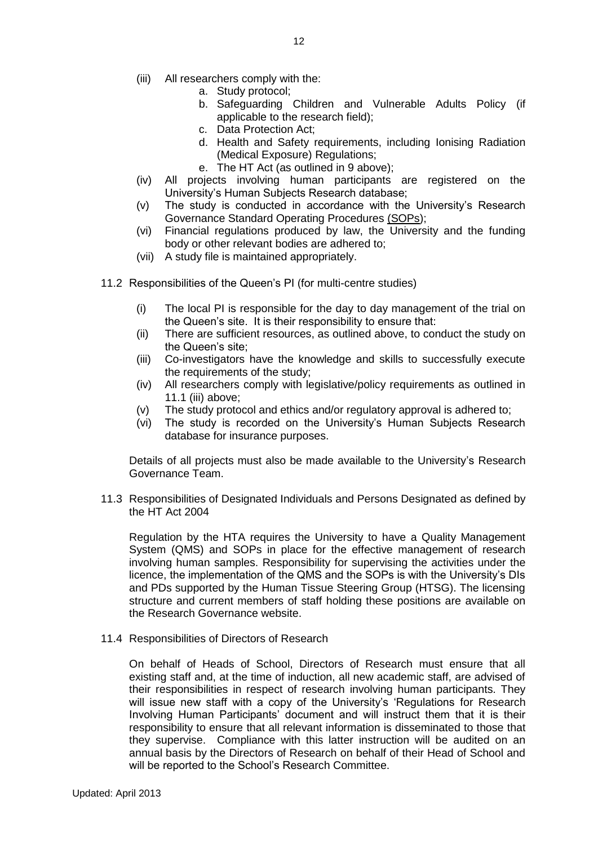- (iii) All researchers comply with the:
	- a. Study protocol;
	- b. Safeguarding Children and Vulnerable Adults Policy (if applicable to the research field);
	- c. Data Protection Act;
	- d. Health and Safety requirements, including Ionising Radiation (Medical Exposure) Regulations;
	- e. The HT Act (as outlined in 9 above);
- (iv) All projects involving human participants are registered on the University's Human Subjects Research database;
- (v) The study is conducted in accordance with the University's Research Governance Standard Operating Procedures [\(SOPs\)](https://admin.qol.qub.ac.uk/my_research/?func=sop);
- (vi) Financial regulations produced by law, the University and the funding body or other relevant bodies are adhered to;
- (vii) A study file is maintained appropriately.
- 11.2 Responsibilities of the Queen's PI (for multi-centre studies)
	- (i) The local PI is responsible for the day to day management of the trial on the Queen's site. It is their responsibility to ensure that:
	- (ii) There are sufficient resources, as outlined above, to conduct the study on the Queen's site;
	- (iii) Co-investigators have the knowledge and skills to successfully execute the requirements of the study;
	- (iv) All researchers comply with legislative/policy requirements as outlined in 11.1 (iii) above;
	- (v) The study protocol and ethics and/or regulatory approval is adhered to;
	- (vi) The study is recorded on the University's Human Subjects Research database for insurance purposes.

Details of all projects must also be made available to the University's Research Governance Team.

11.3 Responsibilities of Designated Individuals and Persons Designated as defined by the HT Act 2004

Regulation by the HTA requires the University to have a Quality Management System (QMS) and SOPs in place for the effective management of research involving human samples. Responsibility for supervising the activities under the licence, the implementation of the QMS and the SOPs is with the University's DIs and PDs supported by the Human Tissue Steering Group (HTSG). The licensing structure and current members of staff holding these positions are available on the Research Governance website.

11.4 Responsibilities of Directors of Research

On behalf of Heads of School, Directors of Research must ensure that all existing staff and, at the time of induction, all new academic staff, are advised of their responsibilities in respect of research involving human participants. They will issue new staff with a copy of the University's 'Regulations for Research Involving Human Participants' document and will instruct them that it is their responsibility to ensure that all relevant information is disseminated to those that they supervise. Compliance with this latter instruction will be audited on an annual basis by the Directors of Research on behalf of their Head of School and will be reported to the School's Research Committee.